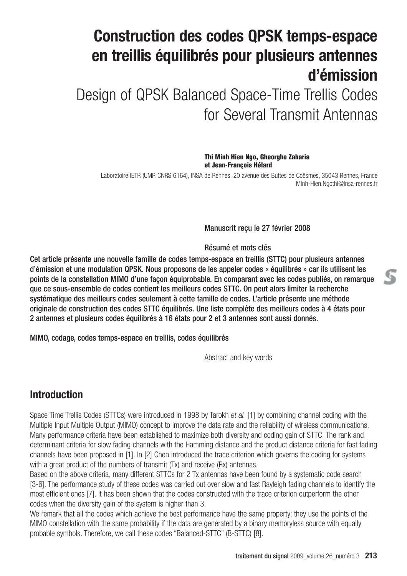# **Construction des codes QPSK temps-espace en treillis équilibrés pour plusieurs antennes d'émission**

Design of QPSK Balanced Space-Time Trellis Codes for Several Transmit Antennas

> **Thi Minh Hien Ngo, Gheorghe Zaharia et Jean-François Hélard**

Laboratoire IETR (UMR CNRS 6164), INSA de Rennes, 20 avenue des Buttes de Coësmes, 35043 Rennes, France Minh-Hien.Ngothi@insa-rennes.fr

Manuscrit reçu le 27 février 2008

Résumé et mots clés

Cet article présente une nouvelle famille de codes temps-espace en treillis (STTC) pour plusieurs antennes d'émission et une modulation QPSK. Nous proposons de les appeler codes « équilibrés » car ils utilisent les points de la constellation MIMO d'une façon équiprobable. En comparant avec les codes publiés, on remarque que ce sous-ensemble de codes contient les meilleurs codes STTC. On peut alors limiter la recherche systématique des meilleurs codes seulement à cette famille de codes. L'article présente une méthode originale de construction des codes STTC équilibrés. Une liste complète des meilleurs codes à 4 états pour 2 antennes et plusieurs codes équilibrés à 16 états pour 2 et 3 antennes sont aussi donnés.

MIMO, codage, codes temps-espace en treillis, codes équilibrés

Abstract and key words

## **Introduction**

Space Time Trellis Codes (STTCs) were introduced in 1998 by Tarokh *et al.* [1] by combining channel coding with the Multiple Input Multiple Output (MIMO) concept to improve the data rate and the reliability of wireless communications. Many performance criteria have been established to maximize both diversity and coding gain of STTC. The rank and determinant criteria for slow fading channels with the Hamming distance and the product distance criteria for fast fading channels have been proposed in [1]. In [2] Chen introduced the trace criterion which governs the coding for systems with a great product of the numbers of transmit (Tx) and receive (Rx) antennas.

Based on the above criteria, many different STTCs for 2 Tx antennas have been found by a systematic code search [3-6]. The performance study of these codes was carried out over slow and fast Rayleigh fading channels to identify the most efficient ones [7]. It has been shown that the codes constructed with the trace criterion outperform the other codes when the diversity gain of the system is higher than 3.

We remark that all the codes which achieve the best performance have the same property: they use the points of the MIMO constellation with the same probability if the data are generated by a binary memoryless source with equally probable symbols. Therefore, we call these codes "Balanced-STTC" (B-STTC) [8].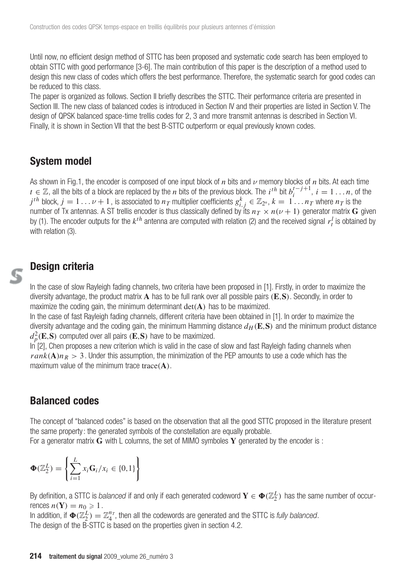Until now, no efficient design method of STTC has been proposed and systematic code search has been employed to obtain STTC with good performance [3-6]. The main contribution of this paper is the description of a method used to design this new class of codes which offers the best performance. Therefore, the systematic search for good codes can be reduced to this class.

The paper is organized as follows. Section II briefly describes the STTC. Their performance criteria are presented in Section III. The new class of balanced codes is introduced in Section IV and their properties are listed in Section V. The design of QPSK balanced space-time trellis codes for 2, 3 and more transmit antennas is described in Section VI. Finally, it is shown in Section VII that the best B-STTC outperform or equal previously known codes.

### **System model**

As shown in Fig.1, the encoder is composed of one input block of *n* bits and *ν* memory blocks of *n* bits. At each time *t* ∈  $\mathbb{Z}$ , all the bits of a block are replaced by the *n* bits of the previous block. The *i*<sup>th</sup> bit  $b_i^{t-j+1}$ , *i* = 1 ... *n*, of the  $j$ <sup>th</sup> block,  $j=1\ldots\nu+1$  , is associated to  $n_T$  multiplier coefficients  $g^k_{i,j}\in\Z_{2^n},$   $k=1\ldots n_T$  where  $n_T$  is the number of Tx antennas. A ST trellis encoder is thus classically defined by its  $n_T\times n(\nu+1)$  generator matrix  ${\bf G}$  given by (1). The encoder outputs for the  $k^{th}$  antenna are computed with relation (2) and the received signal  $r_t^l$  is obtained by with relation (3).

### **Design criteria**

In the case of slow Rayleigh fading channels, two criteria have been proposed in [1]. Firstly, in order to maximize the diversity advantage, the product matrix **A** has to be full rank over all possible pairs (**E**,**S**). Secondly, in order to maximize the coding gain, the minimum determinant det(**A**) has to be maximized.

In the case of fast Rayleigh fading channels, different criteria have been obtained in [1]. In order to maximize the diversity advantage and the coding gain, the minimum Hamming distance  $d_H(\mathbf{E}, \mathbf{S})$  and the minimum product distance  $d_p^2(\mathbf{E}, \mathbf{S})$  computed over all pairs  $(\mathbf{E}, \mathbf{S})$  have to be maximized.

In [2], Chen proposes a new criterion which is valid in the case of slow and fast Rayleigh fading channels when  $rank(A)n_R > 3$ . Under this assumption, the minimization of the PEP amounts to use a code which has the maximum value of the minimum trace trace(**A**).

### **Balanced codes**

The concept of "balanced codes" is based on the observation that all the good STTC proposed in the literature present the same property: the generated symbols of the constellation are equally probable.

For a generator matrix **G** with L columns, the set of MIMO symboles **Y** generated by the encoder is :

$$
\mathbf{\Phi}(\mathbb{Z}_2^L) = \left\{ \sum_{i=1}^L x_i \mathbf{G}_i / x_i \in \{0, 1\} \right\}
$$

By definition, a STTC is *balanced* if and only if each generated codeword  $\mathbf{Y}\in \mathbf{\Phi}(\Z_2^L)$  has the same number of occurrences  $n(Y) = n_0 \ge 1$ .

In addition, if  $\mathbf{\Phi}(\mathbb{Z}_2^L) = \mathbb{Z}_4^{n_T}$ , then all the codewords are generated and the STTC is *fully balanced*. The design of the B-STTC is based on the properties given in section 4.2.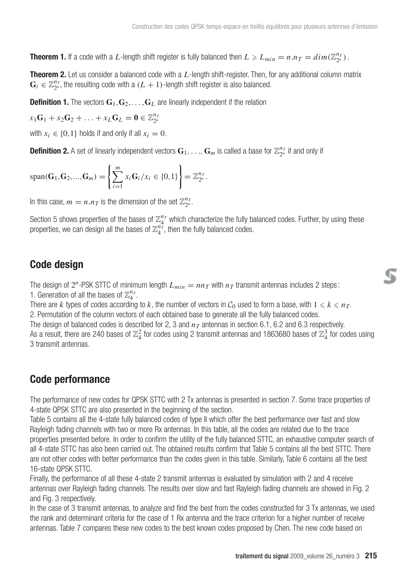**Theorem 1.** If a code with a L-length shift register is fully balanced then  $L \ge L_{min} = n.n_T = dim(\mathbb{Z}_{2^n}^{n_T})$ .

**Theorem 2.** Let us consider a balanced code with a *L*-length shift-register. Then, for any additional column matrix  $\mathbf{G}_i \in \mathbb{Z}_{2^n}^{n_T}$ , the resulting code with a  $(L + 1)$ -length shift register is also balanced.

**Definition 1.** The vectors  $G_1, G_2, \ldots, G_L$  are linearly independent if the relation

 $x_1\mathbf{G}_1 + x_2\mathbf{G}_2 + \ldots + x_L\mathbf{G}_L = \mathbf{0} \in \mathbb{Z}_{2^n}^{n_T}$ 

with  $x_i \in \{0,1\}$  holds if and only if all  $x_i = 0$ .

**Definition 2.** A set of linearly independent vectors  $G_1, \ldots, G_m$  is called a base for  $\mathbb{Z}_{2^n}^{n_T}$  if and only if

$$
span(\mathbf{G}_1, \mathbf{G}_2, ..., \mathbf{G}_m) = \left\{ \sum_{i=1}^m x_i \mathbf{G}_i / x_i \in \{0, 1\} \right\} = \mathbb{Z}_{2^n}^{n_T}.
$$

In this case,  $m = n.n_T$  is the dimension of the set  $\mathbb{Z}_{2^n}^{n_T}$ .

Section 5 shows properties of the bases of  $\mathbb{Z}_4^{n_T}$  which characterize the fully balanced codes. Further, by using these properties, we can design all the bases of  $\mathbb{Z}_4^{n_T^+}$ , then the fully balanced codes.

## **Code design**

The design of  $2^n$ -PSK STTC of minimum length  $L_{min} = nn_T$  with  $n_T$  transmit antennas includes 2 steps: 1. Generation of all the bases of  $\mathbb{Z}_4^{n_T}$ .

There are *k* types of codes according to *k*, the number of vectors in  $C_0$  used to form a base, with  $1 \le k \le n_T$ . 2. Permutation of the column vectors of each obtained base to generate all the fully balanced codes. The design of balanced codes is described for 2, 3 and  $n<sub>T</sub>$  antennas in section 6.1, 6.2 and 6.3 respectively.

As a result, there are 240 bases of  $\mathbb{Z}_4^2$  for codes using 2 transmit antennas and 1863680 bases of  $\mathbb{Z}_4^3$  for codes using 3 transmit antennas.

### **Code performance**

The performance of new codes for QPSK STTC with 2 Tx antennas is presented in section 7. Some trace properties of 4-state QPSK STTC are also presented in the beginning of the section.

Table 5 contains all the 4-state fully balanced codes of type II which offer the best performance over fast and slow Rayleigh fading channels with two or more Rx antennas. In this table, all the codes are related due to the trace properties presented before. In order to confirm the utility of the fully balanced STTC, an exhaustive computer search of all 4-state STTC has also been carried out. The obtained results confirm that Table 5 contains all the best STTC. There are not other codes with better performance than the codes given in this table. Similarly, Table 6 contains all the best 16-state QPSK STTC.

Finally, the performance of all these 4-state 2 transmit antennas is evaluated by simulation with 2 and 4 receive antennas over Rayleigh fading channels. The results over slow and fast Rayleigh fading channels are showed in Fig. 2 and Fig. 3 respectively.

In the case of 3 transmit antennas, to analyze and find the best from the codes constructed for 3 Tx antennas, we used the rank and determinant criteria for the case of 1 Rx antenna and the trace criterion for a higher number of receive antennas. Table 7 compares these new codes to the best known codes proposed by Chen. The new code based on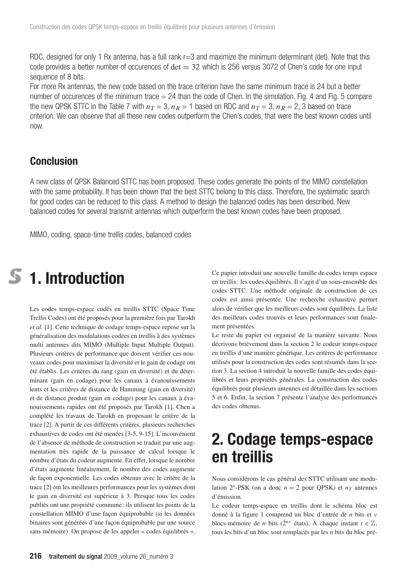RDC, designed for only 1 Rx antenna, has a full rank r=3 and maximize the minimum determinant (det). Note that this code provides a better number of occurences of  $det = 32$  which is 256 versus 3072 of Chen's code for one input sequence of 8 bits.

For more Rx antennas, the new code based on the trace criterion have the same minimum trace is 24 but a better number of occurences of the minimum trace  $= 24$  than the code of Chen. In the simulation. Fig. 4 and Fig. 5 compare the new QPSK STTC in the Table 7 with  $n_T = 3$ ,  $n_R = 1$  based on RDC and  $n_T = 3$ ,  $n_R = 2$ , 3 based on trace criterion. We can observe that all these new codes outperform the Chen's codes, that were the best known codes until now.

### **Conclusion**

A new class of QPSK Balanced STTC has been proposed. These codes generate the points of the MIMO constellation with the same probability. It has been shown that the best STTC belong to this class. Therefore, the systematic search for good codes can be reduced to this class. A method to design the balanced codes has been described. New balanced codes for several transmit antennas which outperform the best known codes have been proposed.

MIMO, coding, space-time trellis codes, balanced codes

# **1. Introduction**

Les codes temps-espace codés en treillis STTC (Space Time Trellis Codes) ont été proposés pour la première fois par Tarokh *et al.* [1]. Cette technique de codage temps-espace repose sur la généralisation des modulations codées en treillis à des systèmes multi antennes dits MIMO (Multiple Input Multiple Output). Plusieurs critères de performance que doivent vérifier ces nouveaux codes pour maximiser la diversité et le gain de codage ont été établis. Les critères du rang (gain en diversité) et du déterminant (gain en codage) pour les canaux à évanouissements lents et les critères de distance de Hamming (gain en diversité) et de distance produit (gain en codage) pour les canaux à évanouissements rapides ont été proposés par Tarokh [1]. Chen a complété les travaux de Tarokh en proposant le critère de la trace [2]. A partir de ces différents critères, plusieurs recherches exhaustives de codes ont été menées [3-5, 9-15]. L'inconvénient de l'absence de méthode de construction se traduit par une augmentation très rapide de la puissance de calcul lorsque le nombre d'états du codeur augmente. En effet, lorsque le nombre d'états augmente linéairement, le nombre des codes augmente de façon exponentielle. Les codes obtenus avec le critère de la trace [2] ont les meilleures performances pour les systèmes dont le gain en diversité est supérieur à 3. Presque tous les codes publiés ont une propriété commune : ils utilisent les points de la constellation MIMO d'une façon équiprobable (si les données binaires sont générées d'une façon équiprobable par une source sans mémoire). On propose de les appeler « codes équilibrés ».

Ce papier introduit une nouvelle famille de codes temps espace en treillis : les codes équilibrés. Il s'agit d'un sous-ensemble des codes STTC. Une méthode originale de construction de ces codes est ainsi présentée. Une recherche exhaustive permet alors de vérifier que les meilleurs codes sont équilibrés. La liste des meilleurs codes trouvés et leurs performances sont finalement présentées.

Le reste du papier est organisé de la manière suivante. Nous décrivons brièvement dans la section 2 le codeur temps-espace en treillis d'une manière générique. Les critères de performance utilisés pour la construction des codes sont résumés dans la section 3. La section 4 introduit la nouvelle famille des codes équilibrés et leurs propriétés générales. La construction des codes équilibrés pour plusieurs antennes est détaillée dans les sections 5 et 6. Enfin, la section 7 présente l'analyse des performances des codes obtenus.

## **2. Codage temps-espace en treillis**

Nous considérons le cas général des STTC utilisant une modulation  $2^n$ -PSK (on a donc  $n = 2$  pour QPSK) et  $n_T$  antennes d'émission.

Le codeur temps-espace en treillis dont le schéma bloc est donné à la figure 1 comprend un bloc d'entrée de *n* bits et ν blocs-mémoire de *n* bits ( $2^{nv}$  états). À chaque instant  $t \in \mathbb{Z}$ , tous les bits d'un bloc sont remplacés par les *n* bits du bloc pré-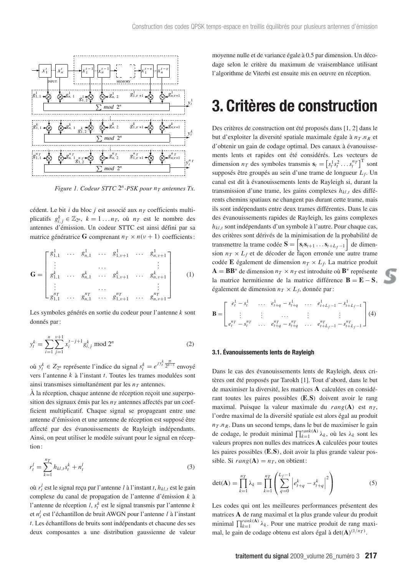

*Figure 1. Codeur STTC*  $2^n$ *-PSK pour*  $n_T$  *antennes Tx.* 

cédent. Le bit *i* du bloc *j* est associé aux  $n<sub>T</sub>$  coefficients multiplicatifs  $g_{i,j}^k \in \mathbb{Z}_{2^n}$ ,  $k = 1...n_T$ , où  $n_T$  est le nombre des antennes d'émission. Un codeur STTC est ainsi défini par sa matrice génératrice **G** comprenant  $n_T \times n(\nu + 1)$  coefficients:

$$
\mathbf{G} = \begin{bmatrix} g_{1,1}^1 & \cdots & g_{n,1}^1 & \cdots & g_{1,\nu+1}^1 & \cdots & g_{n,\nu+1}^1 \\ \vdots & & \cdots & & \vdots \\ g_{1,1}^k & \cdots & g_{n,1}^k & \cdots & g_{1,\nu+1}^k & \cdots & g_{n,\nu+1}^k \\ \vdots & & \cdots & & \vdots \\ g_{1,1}^{n_T} & \cdots & g_{n,1}^{n_T} & \cdots & g_{1,\nu+1}^{n_T} & \cdots & g_{n,\nu+1}^{n_T} \end{bmatrix} \qquad (1)
$$

Les symboles générés en sortie du codeur pour l'antenne *k* sont donnés par :

$$
y_t^k = \sum_{i=1}^n \sum_{j=1}^{v+1} x_i^{t-j+1} g_{i,j}^k \text{ mod } 2^n
$$
 (2)

où *y*<sup>*k*</sup> ∈ *Z*<sub>2</sub>*n*</sub> représente l'indice du signal  $s_t^k = e^{Jy_t^k} \frac{\pi}{2^{n-1}}$  envoyé vers l'antenne *k* à l'instant *t*. Toutes les trames modulées sont ainsi transmises simultanément par les  $n<sub>T</sub>$  antennes.

À la réception, chaque antenne de réception reçoit une superposition des signaux émis par les  $n<sub>T</sub>$  antennes affectés par un coefficient multiplicatif. Chaque signal se propageant entre une antenne d'émission et une antenne de réception est supposé être affecté par des évanouissements de Rayleigh indépendants. Ainsi, on peut utiliser le modèle suivant pour le signal en réception :

$$
r_t^l = \sum_{k=1}^{n_T} h_{kl,t} s_t^k + n_t^l
$$
\n(3)

où *r<sup>l</sup> <sup>t</sup>* est le signal reçu par l'antenne *l* à l'instant *t*, *hkl*,*<sup>t</sup>* est le gain complexe du canal de propagation de l'antenne d'émission *k* à l'antenne de réception *l*, *s<sup>k</sup> <sup>t</sup>* est le signal transmis par l'antenne *k* et *n<sup>l</sup> <sup>t</sup>* est l'échantillon de bruit AWGN pour l'antenne *l* à l'instant *t*. Les échantillons de bruits sont indépendants et chacune des ses deux composantes a une distribution gaussienne de valeur moyenne nulle et de variance égale à 0.5 par dimension. Un décodage selon le critère du maximum de vraisemblance utilisant l'algorithme de Viterbi est ensuite mis en oeuvre en réception.

## **3. Critères de construction**

Des critères de construction ont été proposés dans [1, 2] dans le but d'exploiter la diversité spatiale maximale égale à  $n_T.n_R$  et d'obtenir un gain de codage optimal. Des canaux à évanouissements lents et rapides ont été considérés. Les vecteurs de dimension  $n_T$  des symboles transmis  $\mathbf{s}_t = \left[s_t^1 s_t^2 \dots s_t^{n_T}\right]^\text{T}$  sont supposés être groupés au sein d'une trame de longueur *L <sup>f</sup>*. Un canal est dit à évanouissements lents de Rayleigh si, durant la transmission d'une trame, les gains complexes *hkl*,*<sup>t</sup>* des différents chemins spatiaux ne changent pas durant cette trame, mais ils sont indépendants entre deux trames différentes. Dans le cas des évanouissements rapides de Rayleigh, les gains complexes *hkl*,*<sup>t</sup>* sont indépendants d'un symbole à l'autre. Pour chaque cas, des critères sont dérivés de la minimisation de la probabilité de transmettre la trame codée  $S = \begin{bmatrix} s_t s_{t+1} \dots s_{t+L_f-1} \end{bmatrix}$  de dimension  $n_T \times L_f$  et de décoder de façon erronée une autre trame codée **E** également de dimension  $n_T \times L_f$ . La matrice produit  $A = BB^*$  de dimension  $n_T \times n_T$  est introduite où  $B^*$  représente la matrice hermitienne de la matrice différence **B** = **E** − **S**, également de dimension  $n_T \times L_f$ , donnée par :

$$
\mathbf{B} = \begin{bmatrix} e_t^1 - s_t^1 & \dots & e_{t+q}^1 - s_{t+q}^1 & \dots & e_{t+L_f-1}^1 - s_{t+L_f-1}^1 \\ \vdots & \vdots & \dots & \vdots & \vdots \\ e_t^{n_T} - s_t^{n_T} & \dots & e_{t+q}^{n_T} - s_{t+q}^{n_T} & \dots & e_{t+L_f-1}^{n_T} - s_{t+L_f-1}^{n_T} \end{bmatrix} (4)
$$

#### **3.1. Évanouissements lents de Rayleigh**

Dans le cas des évanouissements lents de Rayleigh, deux critères ont été proposés par Tarokh [1]. Tout d'abord, dans le but de maximiser la diversité, les matrices **A** calculées en considérant toutes les paires possibles (**E**,**S**) doivent avoir le rang maximal. Puisque la valeur maximale du  $rang(A)$  est  $n<sub>T</sub>$ , l'ordre maximal de la diversité spatiale est alors égal au produit  $n<sub>T</sub> . n<sub>R</sub>$ . Dans un second temps, dans le but de maximiser le gain de codage, le produit minimal  $\prod_{k=1}^{rank(A)} \lambda_k$ , où les  $\lambda_k$  sont les valeurs propres non nulles des matrices **A** calculées pour toutes les paires possibles (**E**,**S**), doit avoir la plus grande valeur possible. Si  $rang(A) = n_T$ , on obtient:

$$
\det(\mathbf{A}) = \prod_{k=1}^{n} \lambda_k = \prod_{k=1}^{n} \left( \sum_{q=0}^{L_f - 1} \left| e_{t+q}^k - s_{t+q}^k \right|^2 \right) \tag{5}
$$

Les codes qui ont les meilleures performances présentent des matrices **A** de rang maximal et la plus grande valeur du produit minimal  $\prod_{k=1}^{rank(A)} \lambda_k$ . Pour une matrice produit de rang maximal, le gain de codage obtenu est alors égal à det(**A**)<sup>(1/*nT*)</sup>.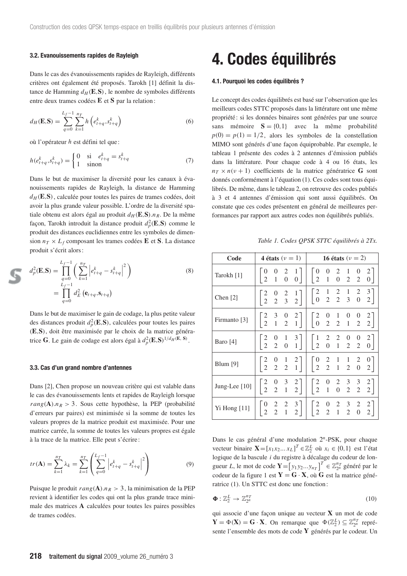### **3.2. Evanouissements rapides de Rayleigh**

Dans le cas des évanouissements rapides de Rayleigh, différents critères ont également été proposés. Tarokh [1] définit la distance de Hamming  $d_H$  (**E**, **S**), le nombre de symboles différents entre deux trames codées **E** et **S** par la relation :

$$
d_H(\mathbf{E}, \mathbf{S}) = \sum_{q=0}^{L_f - 1} \sum_{k=1}^{n_T} h\left(e_{t+q}^k, s_{t+q}^k\right)
$$
(6)

où l'opérateur *h* est défini tel que :

$$
h(e_{t+q}^k, s_{t+q}^k) = \begin{cases} 0 & \text{si } e_{t+q}^k = s_{t+q}^k \\ 1 & \text{sinon} \end{cases}
$$
 (7)

Dans le but de maximiser la diversité pour les canaux à évanouissements rapides de Rayleigh, la distance de Hamming  $d_H$  (**E**, **S**), calculée pour toutes les paires de trames codées, doit avoir la plus grande valeur possible. L'ordre de la diversité spatiale obtenu est alors égal au produit  $d_H$  (**E**, **S**). *n<sub>R</sub>*. De la même façon, Tarokh introduit la distance produit  $d_p^2(\mathbf{E}, \mathbf{S})$  comme le produit des distances euclidiennes entre les symboles de dimension  $n_T \times L_f$  composant les trames codées **E** et **S**. La distance produit s'écrit alors :

$$
d_p^2(\mathbf{E}, \mathbf{S}) = \prod_{q=0}^{L_f - 1} \left( \sum_{k=1}^{n} \left| e_{t+q}^k - s_{t+q}^k \right|^2 \right)
$$
  
= 
$$
\prod_{q=0}^{L_f - 1} d_E^2 \left( \mathbf{e}_{t+q}, \mathbf{s}_{t+q} \right)
$$
 (8)

Dans le but de maximiser le gain de codage, la plus petite valeur des distances produit  $d_p^2(\mathbf{E}, \mathbf{S})$ , calculées pour toutes les paires (**E**,**S**), doit être maximisée par le choix de la matrice génératrice **G**. Le gain de codage est alors égal à  $d_p^2(\mathbf{E}, \mathbf{S})^{1/d_H(\mathbf{E}, \mathbf{S})}$ .

#### **3.3. Cas d'un grand nombre d'antennes**

Dans [2], Chen propose un nouveau critère qui est valable dans le cas des évanouissements lents et rapides de Rayleigh lorsque  $rang(A).n_R > 3$ . Sous cette hypothèse, la PEP (probabilité d'erreurs par paires) est minimisée si la somme de toutes les valeurs propres de la matrice produit est maximisée. Pour une matrice carrée, la somme de toutes les valeurs propres est égale à la trace de la matrice. Elle peut s'écrire:

$$
tr(\mathbf{A}) = \sum_{k=1}^{n_T} \lambda_k = \sum_{k=1}^{n_T} \left( \sum_{q=0}^{L_f - 1} \left| e_{t+q}^k - s_{t+q}^k \right|^2 \right) \tag{9}
$$

Puisque le produit  $rang(A) \cdot n_R > 3$ , la minimisation de la PEP revient à identifier les codes qui ont la plus grande trace minimale des matrices **A** calculées pour toutes les paires possibles de trames codées.

## **4. Codes équilibrés**

### **4.1. Pourquoi les codes équilibrés ?**

Le concept des codes équilibrés est basé sur l'observation que les meilleurs codes STTC proposés dans la littérature ont une même propriété : si les données binaires sont générées par une source sans mémoire  $S = \{0, 1\}$  avec la même probabilité  $p(0) = p(1) = 1/2$ , alors les symboles de la constellation MIMO sont générés d'une façon équiprobable. Par exemple, le tableau 1 présente des codes à 2 antennes d'émission publiés dans la littérature. Pour chaque code à 4 ou 16 états, les  $n_T \times n(v + 1)$  coefficients de la matrice génératrice **G** sont donnés conformément à l'équation (1). Ces codes sont tous équilibrés. De même, dans le tableau 2, on retrouve des codes publiés à 3 et 4 antennes d'émission qui sont aussi équilibrés. On constate que ces codes présentent en général de meilleures performances par rapport aux autres codes non équilibrés publiés.

*Table 1. Codes QPSK STTC équilibrés à 2Tx.*

| Code            |                                                          | 4 états $(\nu = 1)$                                                                          | 16 états ( $\nu = 2$ )                                                                                                                                                        |
|-----------------|----------------------------------------------------------|----------------------------------------------------------------------------------------------|-------------------------------------------------------------------------------------------------------------------------------------------------------------------------------|
| Tarokh [1]      | $2 \quad 1$                                              | $\overline{0}$<br>0 <sup>1</sup>                                                             | $\begin{array}{cccc} 0 & 2 & 1 & 0 \\ 1 & 0 & 2 & 2 \end{array}$<br>$\mathbf{1}$<br>$\begin{bmatrix} 2 \\ 0 \end{bmatrix}$<br>$\vert$ 2                                       |
| Chen [2]        |                                                          | $\begin{bmatrix} 2 & 0 & 2 & 1 \\ 2 & 2 & 3 & 2 \end{bmatrix}$                               | $\begin{bmatrix} 2 \\ 0 \end{bmatrix}$<br>$\begin{array}{cccc} 1 & 2 & 1 & 2 \\ 2 & 2 & 3 & 0 \end{array}$<br>$\begin{bmatrix} 3 \\ 2 \end{bmatrix}$                          |
| Firmanto [3]    |                                                          | $\begin{bmatrix} 2 & 3 & 0 & 2 \\ 2 & 1 & 2 & 1 \end{bmatrix}$                               | $\begin{bmatrix} 2 & 0 & 1 & 0 & 0 \\ 0 & 2 & 2 & 1 & 2 \end{bmatrix}$<br>$\begin{bmatrix} 2 \\ 2 \end{bmatrix}$                                                              |
| Baro [4]        | $\begin{bmatrix} 2 \\ 2 \end{bmatrix}$<br>$\overline{2}$ | $\begin{bmatrix} 3 \\ 1 \end{bmatrix}$<br>$\overline{1}$<br>$\mathbf{1}$<br>$\boldsymbol{0}$ | $\begin{bmatrix} 1 \\ 2 \end{bmatrix}$<br>$\begin{array}{cccc} 2 & 2 & 0 & 0 \\ 0 & 1 & 2 & 2 \end{array}$<br>$\begin{bmatrix} 2 \\ 0 \end{bmatrix}$                          |
| Blum $[9]$      |                                                          | $\begin{bmatrix} 2 & 0 & 1 & 2 \\ 2 & 2 & 2 & 1 \end{bmatrix}$                               | $\begin{bmatrix} 0 \\ 2 \end{bmatrix}$<br>$\begin{array}{cccc} 2 & 1 & 1 & 2 \\ 2 & 1 & 2 & 0 \end{array}$<br>$\begin{bmatrix} 0 \\ 2 \end{bmatrix}$                          |
| Jung-Lee $[10]$ | $\begin{bmatrix} 2 \\ 2 \end{bmatrix}$                   | 3<br>$\begin{bmatrix} 2 \\ 2 \end{bmatrix}$<br>$2 \quad 1$                                   | $\overline{2}$<br>$\begin{array}{ccc} 2 & 3 & 3 \\ 0 & 2 & 2 \end{array}$<br>$\begin{bmatrix} 2 \\ 2 \end{bmatrix}$<br>$\begin{matrix} 0 \\ 1 \end{matrix}$<br>$\overline{2}$ |
| Yi Hong [11]    | $\boldsymbol{0}$<br>$\overline{2}$<br>$\overline{2}$     | $\frac{3}{2}$<br>2<br>$\overline{1}$<br>$\overline{2}$                                       | $\overline{2}$<br>$\begin{array}{ccc} 2& 3& 2\\ 1& 2& 0 \end{array}$<br>2<br>$\frac{1}{2}$<br>$\overline{2}$<br>$\overline{2}$                                                |

Dans le cas général d'une modulation 2*<sup>n</sup>*-PSK, pour chaque vecteur binaire  $\mathbf{X} = [x_1 x_2 ... x_L]^T \in \mathbb{Z}_2^L$  où  $x_i \in \{0, 1\}$  est l'état logique de la bascule *i* du registre à décalage du codeur de longueur *L*, le mot de code  $\mathbf{Y} = \begin{bmatrix} y_1 y_2 ... y_{n_T} \end{bmatrix}^T \in \mathbb{Z}_{2^n}^{n_T}$  généré par le codeur de la figure 1 est  $Y = G \cdot X$ , où **G** est la matrice génératrice (1). Un STTC est donc une fonction :

$$
\mathbf{\Phi} : \mathbb{Z}_2^L \to \mathbb{Z}_{2^n}^{n} \tag{10}
$$

qui associe d'une façon unique au vecteur **X** un mot de code  $\mathbf{Y} = \Phi(\mathbf{X}) = \mathbf{G} \cdot \mathbf{X}$ . On remarque que  $\Phi(\mathbb{Z}_2^L) \subseteq \mathbb{Z}_{2^n}^{n_T}$  représente l'ensemble des mots de code **Y** générés par le codeur. Un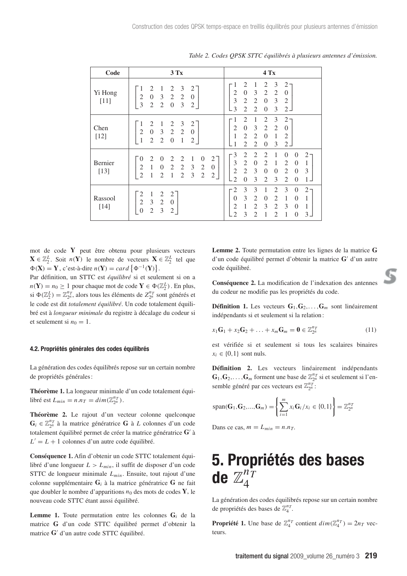| Code              | 3Tx                                                                                                                                                                                                                                              | $4$ Tx                                                                                                                                                                                                                                                                                                                          |
|-------------------|--------------------------------------------------------------------------------------------------------------------------------------------------------------------------------------------------------------------------------------------------|---------------------------------------------------------------------------------------------------------------------------------------------------------------------------------------------------------------------------------------------------------------------------------------------------------------------------------|
| Yi Hong<br>$[11]$ | 2<br>3<br>1<br>$\overline{1}$<br>2<br>2<br>$0 \t3 \t2 \t2$<br>$\frac{2}{3}$<br>$\Omega$<br>$\overline{2}$<br>$\overline{0}$<br>2<br>3<br>2                                                                                                       | 2<br>2<br>3<br>1<br>- 1<br>2<br>3<br>$\mathbf{0}$<br>2<br>2<br>2<br>$\Omega$<br>$\mathfrak{Z}$<br>$\overline{2}$<br>2<br>$\overline{0}$<br>3<br>$\overline{2}$<br>$\overline{\mathcal{E}}$<br>2<br>2<br>3<br>$\Omega$<br>2.                                                                                                     |
| Chen<br>$[12]$    | $2 \quad 1$<br>$\overline{3}$<br>1<br>2<br>2<br>$0 \t3 \t2 \t2$<br>$\overline{2}$<br>$\Omega$<br>$\mathbf{1}$<br>$2\quad 2\quad 0$<br>$\mathbf{1}$<br>2                                                                                          | 2<br>2<br>3<br>1<br>2<br>- 1<br>$\boldsymbol{0}$<br>$\mathfrak{Z}$<br>2<br>2<br>2<br>$\Omega$<br>2<br>1<br>2<br>$\overline{0}$<br>1<br>$\overline{2}$<br>$\overline{2}$<br>3<br>$\mathfrak{D}$<br>$\Omega$<br>$\mathcal{L}$                                                                                                     |
| Bernier<br>$[13]$ | 2<br>2<br>$\theta$<br>$\theta$<br>2<br>-1<br>$\overline{0}$<br>2<br>$2 \t2 \t3$<br>2<br>$\mathbf{1}$<br>$\mathbf{0}$<br>2<br>$\overline{0}$<br>2<br>$\overline{2}$<br>3<br>$\mathbf{1}$<br>2<br>$\overline{1}$<br>$\mathfrak{2}$<br>$\mathbf{2}$ | 3<br>$\overline{2}$<br>2<br>$2^{\circ}$<br>2<br>$\theta$<br>1<br>0<br>3<br>$\mathfrak{2}$<br>$\theta$<br>2<br>2<br>1<br>$\theta$<br>1<br>$\overline{2}$<br>2<br>3<br>3<br>$\overline{0}$<br>$\theta$<br>2<br>$\Omega$<br>$\mathfrak{D}$<br>3<br>$\mathfrak{D}$<br>$\Omega$<br>$\mathcal{E}$<br>$\mathfrak{D}$<br>$\theta$<br>1. |
| Rassool<br>$[14]$ | $\mathfrak{2}$<br>$\mathbf{1}$<br>$\overline{2}$<br>2<br>$2 \quad 3 \quad 2$<br>$\Omega$<br>$\overline{0}$<br>$\overline{2}$<br>3<br>2                                                                                                           | 3<br>3<br>3<br>$2\cdot$<br>2<br>2<br>1<br>$\theta$<br>3<br>$\overline{2}$<br>$\theta$<br>2<br>1<br>$\Omega$<br>$\Omega$<br>1<br>1<br>3<br>2<br>$\mathfrak{D}$<br>2<br>3<br>$\Omega$<br>1<br>$\mathcal{D}_{\mathcal{L}}$<br>3<br>$3 -$<br>$\mathcal{D}_{\mathcal{A}}$<br>1<br>$\mathfrak{D}$<br>1<br>$\theta$                    |

*Table 2. Codes QPSK STTC équilibrés à plusieurs antennes d'émission.*

mot de code **Y** peut être obtenu pour plusieurs vecteurs **X** ∈  $\mathbb{Z}_2^L$ . Soit *n*(**Y**) le nombre de vecteurs **X** ∈  $\mathbb{Z}_2^L$  tel que  $\Phi(\mathbf{X}) = \mathbf{Y}$ , c'est-à-dire  $n(\mathbf{Y}) = card \{ \Phi^{-1}(\mathbf{Y}) \}.$ 

Par définition, un STTC est *équilibré* si et seulement si on a  $n(Y) = n_0 \ge 1$  pour chaque mot de code  $Y \in \Phi(\mathbb{Z}_2^L)$ . En plus, si  $\Phi(\mathbb{Z}_2^L) = \mathbb{Z}_{2^n}^{n_T}$ , alors tous les éléments de  $Z_{2^n}^{n_T}$  sont générés et le code est dit *totalement équilibré*. Un code totalement équilibré est à *longueur minimale* du registre à décalage du codeur si et seulement si  $n_0 = 1$ .

### **4.2. Propriétés générales des codes équilibrés**

La génération des codes équilibrés repose sur un certain nombre de propriétés générales :

**Théorème 1.** La longueur minimale d'un code totalement équilibré est  $L_{min} = n.n_T = dim(\mathbb{Z}_{2^n}^{n_T})$ .

**Théorème 2.** Le rajout d'un vecteur colonne quelconque  $\mathbf{G}_i$  ∈  $\mathbb{Z}_{2^n}^{n}$  à la matrice génératrice **G** à *L* colonnes d'un code totalement équilibré permet de créer la matrice génératrice **G** à  $L' = L + 1$  colonnes d'un autre code équilibré.

**Conséquence 1.** Afin d'obtenir un code STTC totalement équilibré d'une longueur *L* > *Lmin*, il suffit de disposer d'un code STTC de longueur minimale *Lmin* . Ensuite, tout rajout d'une colonne supplémentaire **G***<sup>i</sup>* à la matrice génératrice **G** ne fait que doubler le nombre d'apparitions *n*<sup>0</sup> des mots de codes **Y**, le nouveau code STTC étant aussi équilibré.

**Lemme 1.** Toute permutation entre les colonnes  $G_i$  de la matrice **G** d'un code STTC équilibré permet d'obtenir la matrice G' d'un autre code STTC équilibré.

**Lemme 2.** Toute permutation entre les lignes de la matrice **G** d'un code équilibré permet d'obtenir la matrice G' d'un autre code équilibré.

**Conséquence 2.** La modification de l'indexation des antennes du codeur ne modifie pas les propriétés du code.

**Définition 1.** Les vecteurs  $\mathbf{G}_1, \mathbf{G}_2, \ldots, \mathbf{G}_m$  sont linéairement indépendants si et seulement si la relation :

$$
x_1\mathbf{G}_1 + x_2\mathbf{G}_2 + \ldots + x_m\mathbf{G}_m = \mathbf{0} \in \mathbb{Z}_{2^n}^{n} \tag{11}
$$

est vérifiée si et seulement si tous les scalaires binaires  $x_i \in \{0,1\}$  sont nuls.

**Définition 2.** Les vecteurs linéairement indépendants  $\mathbf{G}_1, \mathbf{G}_2, \ldots, \mathbf{G}_m$  forment une base de  $\mathbb{Z}_{2^n}^{n_T}$  si et seulement si l'ensemble généré par ces vecteurs est Z*nT* 2*n* :

$$
span(\mathbf{G}_1, \mathbf{G}_2, ..., \mathbf{G}_m) = \left\{ \sum_{i=1}^m x_i \mathbf{G}_i / x_i \in \{0, 1\} \right\} = \mathbb{Z}_{2^n}^{n_T}
$$

Dans ce cas,  $m = L_{min} = n.n_T$ .

# **5. Propriétés des bases** de  $\mathbb{Z}_4^{n^{\mathbf{T}}_1}$

La génération des codes équilibrés repose sur un certain nombre de propriétés des bases de Z*nT* <sup>4</sup> .

**Propriété 1.** Une base de  $\mathbb{Z}_4^{n_T}$  contient  $dim(\mathbb{Z}_4^{n_T}) = 2n_T$  vecteurs.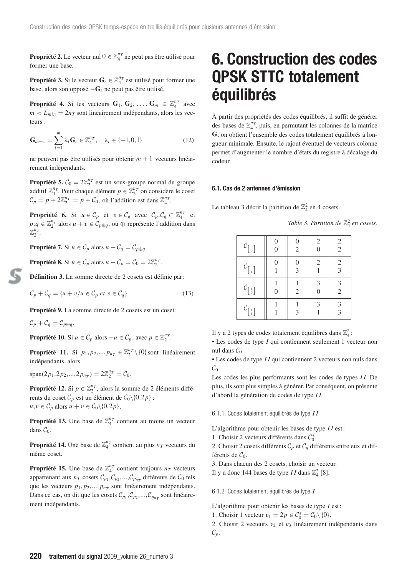**Propriété 2.** Le vecteur nul  $0 \in \mathbb{Z}_4^{n_T}$  ne peut pas être utilisé pour former une base.

**Propriété 3.** Si le vecteur  $\mathbf{G}_i \in \mathbb{Z}_4^{n_T}$  est utilisé pour former une base, alors son opposé −**G***<sup>i</sup>* ne peut pas être utilisé.

**Propriété 4.** Si les vecteurs  $\mathbf{G}_1, \mathbf{G}_2, \ldots, \mathbf{G}_m \in \mathbb{Z}_4^{n_T}$  avec  $m < L_{min} = 2n<sub>T</sub>$  sont linéairement indépendants, alors les vecteurs :

$$
\mathbf{G}_{m+1} = \sum_{i=1}^{m} \lambda_i \mathbf{G}_i \in \mathbb{Z}_4^{n} , \quad \lambda_i \in \{-1, 0, 1\}
$$
 (12)

ne peuvent pas être utilisés pour obtenir *m* + 1 vecteurs linéairement indépendants.

**Propriété 5.**  $C_0 = 2\mathbb{Z}_2^{n_T}$  est un sous-groupe normal du groupe additif  $\mathbb{Z}_4^{n_T}$ . Pour chaque élément  $p \in \mathbb{Z}_2^{n_T}$  on considère le coset  $C_p = p + 2\mathbb{Z}_2^{nT} = p + C_0$ , où l'addition est dans  $\mathbb{Z}_4^{nT}$ .

**Propriété 6.** Si  $u \in C_p$  et  $v \in C_q$  avec  $C_p, C_q \subset \mathbb{Z}_4^{n_T}$  et *p*,*q* ∈  $\mathbb{Z}_2^{nT}$  alors *u* + *v* ∈  $C_{p ⊕ q}$ , où ⊕ représente l'addition dans  $\mathbb{Z}_2^{n_T}$ .

**Propriété 7.** Si  $u \in C_p$  alors  $u + C_q = C_{p \oplus q}$ .

**Propriété 8.** Si  $u \in C_p$  alors  $u + C_p = C_0 = 2\mathbb{Z}_2^{n_T}$ .

**Définition 3.** La somme directe de 2 cosets est définie par :

$$
\mathcal{C}_p + \mathcal{C}_q = \{ u + v/u \in \mathcal{C}_p \text{ et } v \in \mathcal{C}_q \} \tag{13}
$$

Propriété 9. La somme directe de 2 cosets est un coset :

 $\mathcal{C}_p + \mathcal{C}_q = \mathcal{C}_{p \oplus q}.$ 

**Propriété 10.** Si  $u \in C_p$  alors  $-u \in C_p$ , avec  $p \in \mathbb{Z}_2^{n_T}$ .

**Propriété 11.** Si  $p_1, p_2,...,p_{n_T} \in \mathbb{Z}_2^{n_T} \setminus \{0\}$  sont linéairement indépendants, alors

span(2*p*<sub>1</sub>,2*p*<sub>2</sub>,...,2*p*<sub>*nT*</sub>) =  $2\mathbb{Z}_2^{n_T} = C_0$ .

**Propriété 12.** Si  $p \in \mathbb{Z}_2^{n}$ , alors la somme de 2 éléments différents du coset  $C_p$  est un élément de  $C_0 \setminus \{0, 2p\}$ :  $u, v \in C_p$  alors  $u + v \in C_0 \setminus \{0, 2p\}.$ 

**Propriété 13.** Une base de  $\mathbb{Z}_4^{n_T}$  contient au moins un vecteur dans  $C_0$ .

**Propriété 14.** Une base de  $\mathbb{Z}_4^{n_T}$  contient au plus  $n_T$  vecteurs du même coset.

**Propriété 15.** Une base de  $\mathbb{Z}_4^{n_T}$  contient toujours  $n_T$  vecteurs appartenant aux  $n_T$  cosets  $C_{p_1}, C_{p_2},..., C_{p_{n_T}}$  différents de  $C_0$  tels que les vecteurs  $p_1, p_2, ..., p_{n_T}$  sont linéairement indépendants. Dans ce cas, on dit que les cosets  $C_{p_1}, C_{p_2},..., C_{p_{n_T}}$  sont linéairement indépendants.

## **6. Construction des codes QPSK STTC totalement équilibrés**

À partir des propriétés des codes équilibrés, il suffit de générer des bases de  $\mathbb{Z}_4^{n_T}$ , puis, en permutant les colonnes de la matrice **G**, on obtient l'ensemble des codes totalement équilibrés à longueur minimale. Ensuite, le rajout éventuel de vecteurs colonne permet d'augmenter le nombre d'états du registre à décalage du codeur.

### **6.1. Cas de 2 antennes d'émission**

Le tableau 3 décrit la partition de  $\mathbb{Z}_4^2$  en 4 cosets.

| Table 3. Partition de $\mathbb{Z}_4^2$ en cosets. |  |  |  |  |
|---------------------------------------------------|--|--|--|--|
|---------------------------------------------------|--|--|--|--|

| $\mathcal{C}_{\left[\begin{smallmatrix}0\\0\end{smallmatrix}\right]}$     | 2              | $\overline{c}$ | $\overline{c}$<br>$\overline{2}$ |
|---------------------------------------------------------------------------|----------------|----------------|----------------------------------|
| $\mathcal{C}_{\left[\begin{smallmatrix}0\\1\end{smallmatrix}\right]}$     | $\mathcal{E}$  | 2              | $\frac{2}{3}$                    |
| $\mathcal{C}_{\left[\begin{smallmatrix} 1 \\ 0 \end{smallmatrix}\right]}$ | $\overline{2}$ | 3              | $\mathfrak{Z}$<br>$\overline{2}$ |
| $\mathcal{C}_{\left[\frac{1}{1}\right]}$                                  |                | 3              | $\mathfrak{Z}$<br>$\overline{3}$ |

Il y a 2 types de codes totalement équilibrés dans  $\mathbb{Z}_4^2$ :

• Les codes de type *I* qui contiennent seulement 1 vecteur non nul dans  $C_0$ 

• Les codes de type *I I* qui contiennent 2 vecteurs non nuls dans  $\mathcal{C}_0$ 

Les codes les plus performants sont les codes de types *I I*. De plus, ils sont plus simples à générer. Par conséquent, on présente d'abord la génération de codes de type *I I*.

6.1.1. Codes totalement équilibrés de type *I I*

L'algorithme pour obtenir les bases de type *I I* est :

1. Choisir 2 vecteurs différents dans  $C_0^*$ .

2. Choisir 2 cosets différents C*<sup>p</sup>* et C*<sup>q</sup>* différents entre eux et différents de  $C_0$ .

3. Dans chacun des 2 cosets, choisir un vecteur.

Il y a donc 144 bases de type *II* dans  $\mathbb{Z}_4^2$  [8].

6.1.2. Codes totalement équilibrés de type *I*

L'algorithme pour obtenir les bases de type *I* est :

- 1. Choisir 1 vecteur  $v_1 = 2p \in C_0^* = C_0 \setminus \{0\}.$
- 2. Choisir 2 vecteurs  $v_2$  et  $v_3$  linéairement indépendants dans  $\mathcal{C}_p$ .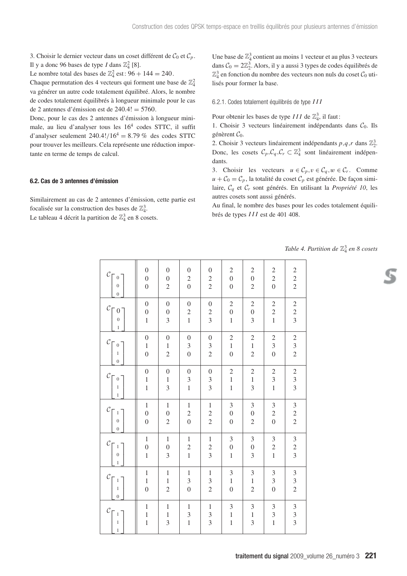3. Choisir le dernier vecteur dans un coset différent de  $C_0$  et  $C_p$ . Il y a donc 96 bases de type *I* dans  $\mathbb{Z}_4^2$  [8].

Le nombre total des bases de  $\mathbb{Z}_4^2$  est:  $96 + 144 = 240$ .

Chaque permutation des 4 vecteurs qui forment une base de  $\mathbb{Z}_4^2$ va générer un autre code totalement équilibré. Alors, le nombre de codes totalement équilibrés à longueur minimale pour le cas de 2 antennes d'émission est de  $240.4! = 5760$ .

Donc, pour le cas des 2 antennes d'émission à longueur minimale, au lieu d'analyser tous les 164 codes STTC, il suffit d'analyser seulement  $240.4!/16^4 = 8.79\%$  des codes STTC pour trouver les meilleurs. Cela représente une réduction importante en terme de temps de calcul.

### **6.2. Cas de 3 antennes d'émission**

Similairement au cas de 2 antennes d'émission, cette partie est focalisée sur la construction des bases de  $\mathbb{Z}_4^3$ .

Le tableau 4 décrit la partition de  $\mathbb{Z}_4^3$  en 8 cosets.

Une base de  $\mathbb{Z}_4^3$  contient au moins 1 vecteur et au plus 3 vecteurs dans  $C_0 = 2\mathbb{Z}_2^3$ . Alors, il y a aussi 3 types de codes équilibrés de  $\mathbb{Z}_4^3$  en fonction du nombre des vecteurs non nuls du coset  $\mathcal{C}_0$  utilisés pour former la base.

### 6.2.1. Codes totalement équilibrés de type *III*

Pour obtenir les bases de type  $III$  de  $\mathbb{Z}_4^3$ , il faut:

1. Choisir 3 vecteurs linéairement indépendants dans  $C_0$ . Ils génèrent  $C_0$ .

2. Choisir 3 vecteurs linéairement indépendants  $p, q, r$  dans  $\mathbb{Z}_2^3$ . Donc, les cosets  $C_p, C_q, C_r \subset \mathbb{Z}_4^3$  sont linéairement indépendants.

3. Choisir les vecteurs  $u \in C_p, v \in C_q, w \in C_r$ . Comme  $u + C_0 = C_p$ , la totalité du coset  $C_p$  est générée. De façon similaire, C*<sup>q</sup>* et C*<sup>r</sup>* sont générés. En utilisant la *Propriété 10*, les autres cosets sont aussi générés.

Au final, le nombre des bases pour les codes totalement équilibrés de types *III* est de 401 408.

*Table 4. Partition de* Z<sup>3</sup> <sup>4</sup> *en 8 cosets*

| $\mathcal{C}_{\bigcap}$ $_0$<br>$\boldsymbol{0}$<br>$\overline{0}$    | $\boldsymbol{0}$<br>$\overline{0}$<br>$\overline{0}$ | $\boldsymbol{0}$<br>$\boldsymbol{0}$<br>$\overline{c}$ | $\boldsymbol{0}$<br>$\begin{matrix}2\\0\end{matrix}$ | $\begin{array}{c} 0 \\ 2 \\ 2 \end{array}$ | $\begin{array}{c} 2 \\ 0 \\ 0 \end{array}$              | $\overline{c}$<br>$\overline{0}$<br>$\overline{c}$      | $\begin{array}{c} 2 \\ 2 \\ 0 \end{array}$                | $\begin{array}{c} 2 \\ 2 \\ 2 \end{array}$ |
|-----------------------------------------------------------------------|------------------------------------------------------|--------------------------------------------------------|------------------------------------------------------|--------------------------------------------|---------------------------------------------------------|---------------------------------------------------------|-----------------------------------------------------------|--------------------------------------------|
| $\mathcal{C}_{\textstyle\Gamma\,0}$<br>$\overline{0}$<br>$\,1$        | $\boldsymbol{0}$<br>$\overline{0}$<br>$\mathbf{1}$   | $\boldsymbol{0}$<br>$\overline{0}$<br>3                | $\boldsymbol{0}$<br>$\frac{2}{1}$                    | $\begin{array}{c} 0 \\ 2 \\ 3 \end{array}$ | $\begin{array}{c} 2 \\ 0 \end{array}$<br>$\,1$          | $\overline{c}$<br>$\overline{0}$<br>$\overline{3}$      | $\overline{c}$<br>$\overline{c}$<br>$\overline{1}$        | $\begin{array}{c} 2 \\ 2 \\ 3 \end{array}$ |
| $\mathcal C$<br>$\sqrt{0}$<br>$\,$ 1 $\,$<br>$\boldsymbol{0}$         | $\boldsymbol{0}$<br>$\mathbf{1}$<br>$\overline{0}$   | $\boldsymbol{0}$<br>$\,1\,$<br>$\overline{c}$          | $\boldsymbol{0}$<br>$\frac{3}{0}$                    | $\begin{array}{c} 0 \\ 3 \\ 2 \end{array}$ | $\begin{array}{c} 2 \\ 1 \\ 0 \end{array}$              | $\begin{array}{c} 2 \\ 1 \end{array}$<br>$\overline{c}$ | $\frac{2}{3}$<br>$\overline{0}$                           | $\begin{array}{c} 2 \\ 3 \\ 2 \end{array}$ |
| $\mathcal{C}_{\bigcap}$ o<br>$\mathbf 1$<br>$\,1$                     | $\boldsymbol{0}$<br>$\mathbf 1$<br>$\mathbf{1}$      | $\boldsymbol{0}$<br>$\,1$<br>$\overline{3}$            | $\boldsymbol{0}$<br>$\frac{3}{1}$                    | $\begin{array}{c} 0 \\ 3 \\ 3 \end{array}$ | $\begin{array}{c} 2 \\ 1 \\ 1 \end{array}$              | $\overline{c}$<br>$\mathbf{1}$<br>$\overline{3}$        | $\overline{c}$<br>$\overline{3}$<br>$\overline{1}$        | $\begin{array}{c} 2 \\ 3 \\ 3 \end{array}$ |
| $\mathcal C$<br>$\lceil 1 \rceil$<br>$\overline{0}$<br>$\overline{0}$ | $\,1\,$<br>$\overline{0}$<br>$\overline{0}$          | $\,1\,$<br>$\overline{0}$<br>$\overline{2}$            | $\,1\,$<br>$\begin{array}{c} 2 \\ 0 \end{array}$     | $\begin{array}{c} 1 \\ 2 \\ 2 \end{array}$ | $\begin{array}{c} 3 \\ 0 \end{array}$<br>$\overline{0}$ | $\mathfrak{Z}$<br>$\overline{0}$<br>$\overline{2}$      | $\frac{3}{2}$<br>$\overline{0}$                           | $\begin{array}{c} 3 \\ 2 \\ 2 \end{array}$ |
| $\mathcal C$<br>$\,$ $\,$<br>$\boldsymbol{0}$<br>$\mathbf{1}$         | $\,1$<br>$\overline{0}$<br>$\mathbf{1}$              | $\,1\,$<br>$\overline{0}$<br>3                         | $\,1$<br>$\frac{2}{1}$                               | $\begin{array}{c} 1 \\ 2 \\ 3 \end{array}$ | $\begin{array}{c} 3 \\ 0 \\ 1 \end{array}$              | $\mathfrak{Z}$<br>$\overline{0}$<br>$\overline{3}$      | $\sqrt{3}$<br>$\overline{c}$<br>$\overline{1}$            | $\begin{array}{c} 3 \\ 2 \\ 3 \end{array}$ |
| $C_{\Gamma}$<br>$\,$ $\,$<br>$\,1$<br>$\mathbf{0}$                    | $\,1$<br>$\mathbf{1}$<br>$\overline{0}$              | $\,1\,$<br>$\,1$<br>$\overline{2}$                     | $\,1\,$<br>$\overline{\mathbf{3}}$<br>$\overline{0}$ | $\begin{array}{c} 1 \\ 3 \\ 2 \end{array}$ | $\frac{3}{1}$<br>$\overline{0}$                         | $\mathfrak{Z}$<br>$\mathbf{1}$<br>$\overline{c}$        | $\sqrt{3}$<br>$\overline{\mathbf{3}}$<br>$\overline{0}$   | $\begin{array}{c} 3 \\ 3 \\ 2 \end{array}$ |
| $\mathcal{C}_{0}^{0}$<br>$\,1$<br>$\mathbf{1}$<br>$\mathbf 1$         | $\,1$<br>$\mathbf 1$<br>$\mathbf{1}$                 | $\,1\,$<br>$\,1$<br>$\overline{3}$                     | $\mathbf{1}$<br>$\frac{3}{1}$                        | $\begin{array}{c} 1 \\ 3 \\ 3 \end{array}$ | $\frac{3}{1}$<br>$\mathbf{1}$                           | $\mathfrak{Z}$<br>$\,1$<br>$\overline{3}$               | $\mathfrak{Z}$<br>$\overline{\mathbf{3}}$<br>$\mathbf{1}$ | $\begin{array}{c} 3 \\ 3 \\ 3 \end{array}$ |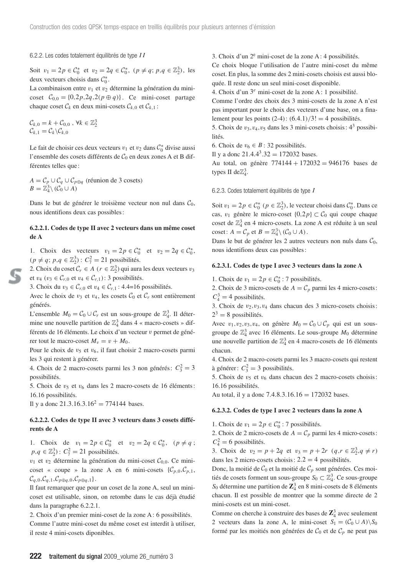6.2.2. Les codes totalement équilibrés de type *I I*

Soit  $v_1 = 2p \in C_0^*$  et  $v_2 = 2q \in C_0^*$ ,  $(p \neq q; p, q \in \mathbb{Z}_2^3)$ , les deux vecteurs choisis dans  $\mathcal{C}_0^*$ .

La combinaison entre  $v_1$  et  $v_2$  détermine la génération du minicoset  $C_{0,0} = \{0, 2p, 2q, 2(p \oplus q)\}\.$  Ce mini-coset partage chaque coset  $C_k$  en deux mini-cosets  $C_{k,0}$  et  $C_{k,1}$ :

$$
\mathcal{C}_{k,0} = k + \mathcal{C}_{0,0} , \forall k \in \mathbb{Z}_2^3
$$
  

$$
\mathcal{C}_{k,1} = \mathcal{C}_k \backslash \mathcal{C}_{k,0}
$$

Le fait de choisir ces deux vecteurs  $v_1$  et  $v_2$  dans  $\mathcal{C}_0^*$  divise aussi l'ensemble des cosets différents de  $C_0$  en deux zones A et B différentes telles que :

$$
A = C_p \cup C_q \cup C_{p \oplus q}
$$
 (réunion de 3 cosets)  

$$
B = \mathbb{Z}_4^3 \setminus (C_0 \cup A)
$$

Dans le but de générer le troisième vecteur non nul dans  $C_0$ , nous identifions deux cas possibles :

### **6.2.2.1. Codes de type II avec 2 vecteurs dans un même coset de A**

1. Choix des vecteurs  $v_1 = 2p \in C_0^*$  et  $v_2 = 2q \in C_0^*$ ,  $(p \neq q; p, q \in \mathbb{Z}_2^3) : C_7^2 = 21$  possibilités.

2. Choix du coset  $C_r \in A$  ( $r \in \mathbb{Z}_2^3$ ) qui aura les deux vecteurs  $v_3$ et  $v_4$  ( $v_3 \in C_{r,0}$  et  $v_4 \in C_{r,1}$ ): 3 possibilités.

3. Choix du *v*<sub>3</sub> ∈  $C_{r,0}$  et *v*<sub>4</sub> ∈  $C_{r,1}$  : 4.4=16 possibilités.

Avec le choix de  $v_3$  et  $v_4$ , les cosets  $\mathcal{C}_0$  et  $\mathcal{C}_r$  sont entièrement générés.

L'ensemble  $M_0 = C_0 \cup C_r$  est un sous-groupe de  $\mathbb{Z}_4^3$ . Il détermine une nouvelle partition de  $\mathbb{Z}_4^3$  dans 4 « macro-cosets » différents de 16 éléments. Le choix d'un vecteur v permet de générer tout le macro-coset  $M_v = v + M_0$ .

Pour le choix de  $v_5$  et  $v_6$ , il faut choisir 2 macro-cosets parmi les 3 qui restent à générer.

4. Choix de 2 macro-cosets parmi les 3 non générés:  $C_3^2 = 3$ possibilités.

5. Choix de  $v_5$  et  $v_6$  dans les 2 macro-cosets de 16 éléments: 16.16 possibilités.

Il y a donc  $21.3.16.3.16^2 = 774144$  bases.

### **6.2.2.2. Codes de type II avec 3 vecteurs dans 3 cosets différents de A**

1. Choix de  $v_1 = 2p \in C_0^*$  et  $v_2 = 2q \in C_0^*$ ,  $(p \neq q)$ ; *p*,*q* ∈  $\mathbb{Z}_2^3$ ): *C*<sup>2</sup><sub>7</sub> = 21 possibilités.

 $v_1$  et  $v_2$  détermine la génération du mini-coset  $\mathcal{C}_{0,0}$ . Ce minicoset « coupe » la zone A en 6 mini-cosets  $\{C_{p,0}, C_{p,1}, C_{p,1}, C_{p,2}, C_{p,2}, C_{p,3}, C_{p,4}, C_{p,5}, C_{p,6}, C_{p,7}, C_{p,8}, C_{p,9}, C_{p,1}, C_{p,1}, C_{p,1}, C_{p,2}, C_{p,3}, C_{p,4}, C_{p,5}, C_{p,6}, C_{p,7}, C_{p,8}, C_{p,9}, C_{p,1}, C_{p,1}, C_{p,1}, C_{p,2}, C_{p,3}, C_{p,4}, C$  $C_{q,0}, C_{q,1}, C_{p \oplus q,0}, C_{p \oplus q,1}$ .

Il faut remarquer que pour un coset de la zone A, seul un minicoset est utilisable, sinon, on retombe dans le cas déjà étudié dans la paragraphe 6.2.2.1.

2. Choix d'un premier mini-coset de la zone A : 6 possibilités. Comme l'autre mini-coset du même coset est interdit à utiliser, il reste 4 mini-cosets diponibles.

3. Choix d'un 2e mini-coset de la zone A : 4 possibilités.

Ce choix bloque l'utilisation de l'autre mini-coset du même coset. En plus, la somme des 2 mini-cosets choisis est aussi bloquée. Il reste donc un seul mini-coset disponible.

4. Choix d'un 3*<sup>e</sup>* mini-coset de la zone A : 1 possibilité.

Comme l'ordre des choix des 3 mini-cosets de la zone A n'est pas important pour le choix des vecteurs d'une base, on a finalement pour les points  $(2-4)$ :  $(6.4.1)/3! = 4$  possibilités.

5. Choix de  $v_3, v_4, v_5$  dans les 3 mini-cosets choisis :  $4^3$  possibilités.

6. Choix de  $v_6 \in B$  : 32 possibilités.

Il y a donc  $21.4.4^{3}.32 = 172032$  bases.

Au total, on génère 774144 + 172032 = 946176 bases de types II de $\mathbb{Z}_4^3$ .

### 6.2.3. Codes totalement équilibrés de type *I*

Soit  $v_1 = 2p \in C_0^*$  ( $p \in \mathbb{Z}_2^3$ ), le vecteur choisi dans  $C_0^*$ . Dans ce cas,  $v_1$  génère le micro-coset  $\{0, 2p\} \subset C_0$  qui coupe chaque coset de  $\mathbb{Z}_4^3$  en 4 micro-cosets. La zone A est réduite à un seul coset:  $A = C_p$  et  $B = \mathbb{Z}_4^3 \setminus (C_0 \cup A)$ .

Dans le but de générer les 2 autres vecteurs non nuls dans  $C_0$ , nous identifions deux cas possibles :

### **6.2.3.1. Codes de type I avec 3 vecteurs dans la zone A**

1. Choix de  $v_1 = 2p \in C_0^*$ : 7 possibilités.

2. Choix de 3 micro-cosets de  $A = C_p$  parmi les 4 micro-cosets:  $C_4^3 = 4$  possibilités.

3. Choix de  $v_2, v_3, v_4$  dans chacun des 3 micro-cosets choisis:  $2^3 = 8$  possibilités.

Avec  $v_1, v_2, v_3, v_4$ , on génère  $M_0 = C_0 \cup C_p$  qui est un sousgroupe de  $\mathbb{Z}_4^3$  avec 16 éléments. Le sous-groupe  $M_0$  détermine une nouvelle partition de  $\mathbb{Z}_4^3$  en 4 macro-cosets de 16 éléments chacun.

4. Choix de 2 macro-cosets parmi les 3 macro-cosets qui restent à générer:  $C_3^2 = 3$  possibilités.

5. Choix de  $v_5$  et  $v_6$  dans chacun des 2 macro-cosets choisis: 16.16 possibilités.

Au total, il y a donc  $7.4.8.3.16.16 = 172032$  bases.

### **6.2.3.2. Codes de type I avec 2 vecteurs dans la zone A**

1. Choix de  $v_1 = 2p \in C_0^*$ : 7 possibilités.

2. Choix de 2 micro-cosets de  $A = C_p$  parmi les 4 micro-cosets:  $C_4^2 = 6$  possibilités.

3. Choix de  $v_2 = p + 2q$  et  $v_3 = p + 2r$   $(q, r \in \mathbb{Z}_2^3, q \neq r)$ dans les 2 micro-cosets choisis :  $2.2 = 4$  possibilités.

Donc, la moitié de  $C_0$  et la moitié de  $C_p$  sont générées. Ces moitiés de cosets forment un sous-groupe  $S_0 \subset \mathbb{Z}_4^3$ . Ce sous-groupe *S*<sup>0</sup> détermine une partition de **Z**<sup>3</sup> <sup>4</sup> en 8 mini-cosets de 8 éléments chacun. Il est possible de montrer que la somme directe de 2 mini-cosets est un mini-coset.

Comme on cherche à construire des bases de **Z**<sup>3</sup> <sup>4</sup> avec seulement 2 vecteurs dans la zone A, le mini-coset  $S_1 = (\mathcal{C}_0 \cup A) \setminus S_0$ formé par les moitiés non générées de  $C_0$  et de  $C_p$  ne peut pas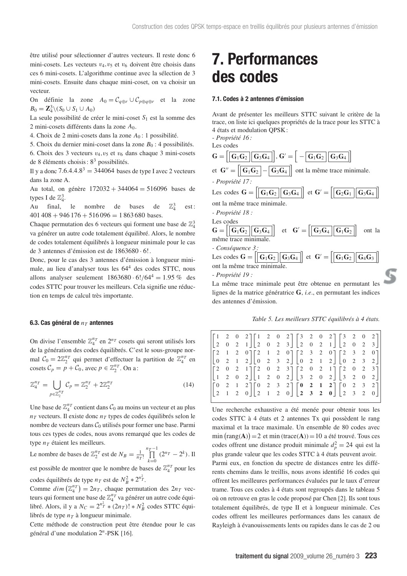être utilisé pour sélectionner d'autres vecteurs. Il reste donc 6 mini-cosets. Les vecteurs  $v_4, v_5$  et  $v_6$  doivent être choisis dans ces 6 mini-cosets. L'algorithme continue avec la sélection de 3 mini-cosets. Ensuite dans chaque mini-coset, on va choisir un vecteur.

On définie la zone  $A_0 = C_{q \oplus r} \cup C_{p \oplus q \oplus r}$  et la zone *B*<sub>0</sub> =  $\mathbb{Z}_4^3$  \(*S*<sub>0</sub> ∪ *S*<sub>1</sub> ∪ *A*<sub>0</sub>)

La seule possibilité de créer le mini-coset *S*<sup>1</sup> est la somme des 2 mini-cosets différents dans la zone *A*0.

4. Choix de 2 mini-cosets dans la zone *A*<sup>0</sup> : 1 possibilité.

5. Choix du dernier mini-coset dans la zone  $B_0$ : 4 possibilités.

6. Choix des 3 vecteurs  $v_4, v_5$  et  $v_6$  dans chaque 3 mini-cosets de 8 éléments choisis :  $8<sup>3</sup>$  possibilités.

Il y a donc  $7.6.4.4.8^3 = 344064$  bases de type I avec 2 vecteurs dans la zone A.

Au total, on génère 172032 + 344064 = 516096 bases de types I de  $\mathbb{Z}_4^3$ .

Au final, le nombre de bases de  $\mathbb{Z}_4^3$ est:  $401\,408 + 946\,176 + 516\,096 = 1\,863\,680$  bases.

Chaque permutation des 6 vecteurs qui forment une base de  $\mathbb{Z}_4^3$ va générer un autre code totalement équilibré. Alors, le nombre de codes totalement équilibrés à longueur minimale pour le cas de 3 antennes d'émission est de 1863680 · 6!.

Donc, pour le cas des 3 antennes d'émission à longueur minimale, au lieu d'analyser tous les 644 des codes STTC, nous allons analyser seulement  $1863680 \cdot 6!/64^4 = 1.95\%$  des codes STTC pour trouver les meilleurs. Cela signifie une réduction en temps de calcul très importante.

### **6.3. Cas général de**  $n_T$  **antennes**

On divise l'ensemble  $\mathbb{Z}_4^{n_T}$  en  $2^{n_T}$  cosets qui seront utilisés lors de la génération des codes équilibrés. C'est le sous-groupe normal  $C_0 = 2\mathbb{Z}_2^{nT}$  qui permet d'effectuer la partition de  $\mathbb{Z}_4^{nT}$  en cosets  $C_p = p + C_0$ , avec  $p \in \mathbb{Z}_2^{n_T}$ . On a:

$$
\mathbb{Z}_4^{n} = \bigcup_{p \in \mathbb{Z}_2^{n}} C_p = \mathbb{Z}_2^{n} + 2\mathbb{Z}_2^{n} \tag{14}
$$

Une base de  $\mathbb{Z}_4^{n_T}$  contient dans  $\mathcal{C}_0$  au moins un vecteur et au plus  $n_T$  vecteurs. Il existe donc  $n_T$  types de codes équilibrés selon le nombre de vecteurs dans  $C_0$  utilisés pour former une base. Parmi tous ces types de codes, nous avons remarqué que les codes de type  $n_T$  étaient les meilleurs.

Le nombre de bases de  $\mathbb{Z}_2^{n_T}$  est de  $N_B = \frac{1}{n_T!}$ *n*<sub>T</sub>-1</sub>  $\prod_{k=0}$   $(2^{n_T} - 2^k)$ . Il

est possible de montrer que le nombre de bases de  $\mathbb{Z}_4^{n_T}$  pour les codes équilibrés de type  $n_T$  est de  $N_B^2 * 2^{n_T^2}$ .

Comme  $dim\left(\mathbb{Z}_4^{n_T}\right) = 2n_T$ , chaque permutation des  $2n_T$  vecteurs qui forment une base de  $\mathbb{Z}_4^{n}$ <sup>n</sup> va générer un autre code équilibré. Alors, il y a  $N_C = 2^{n_T^2} * (2n_T)! * N_B^2$  codes STTC équilibrés de type  $n<sub>T</sub>$  à longueur minimale.

Cette méthode de construction peut être étendue pour le cas général d'une modulation 2*<sup>n</sup>*-PSK [16].

## **7. Performances des codes**

#### **7.1. Codes à 2 antennes d'émission**

Avant de présenter les meilleurs STTC suivant le critère de la trace, on liste ici quelques propriétés de la trace pour les STTC à 4 états et modulation QPSK :

- *Propriété 16 :*



La même trace minimale peut être obtenue en permutant les lignes de la matrice génératrice **G**, *i.e*., en permutant les indices des antennes d'émission.

*Table 5. Les meilleurs STTC équilibrés à 4 états.*

| $\begin{bmatrix} 2 & 1 & 2 & 0 \\ 0 & 2 & 1 & 2 \end{bmatrix} \begin{bmatrix} 2 & 1 & 2 & 0 \\ 0 & 2 & 3 & 2 \end{bmatrix} \begin{bmatrix} 2 & 3 & 2 & 0 \\ 0 & 2 & 1 & 2 \end{bmatrix} \begin{bmatrix} 2 & 3 & 2 & 0 \\ 0 & 2 & 3 & 2 \end{bmatrix}$<br>$\begin{bmatrix} 2 & 0 & 2 & 1 \\ 1 & 2 & 0 & 2 \end{bmatrix} \begin{bmatrix} 2 & 0 & 2 & 3 \\ 1 & 2 & 0 & 2 \end{bmatrix} \begin{bmatrix} 2 & 0 & 2 & 1 \\ 3 & 2 & 0 & 2 \end{bmatrix} \begin{bmatrix} 2 & 0 & 2 & 3 \\ 3 & 2 & 0 & 2 \end{bmatrix}$<br>$\begin{bmatrix} 0 & 2 & 1 & 2 \\ 2 & 1 & 2 & 0 \end{bmatrix} \begin{bmatrix} 0 & 2 & 3 & 2 \\ 2 & 1 & 2 & 0 \end{bmatrix} \begin{bmatrix} 0 & 2 & 1 & 2 \\ 2 & 3 & 2 & 0 \end{bmatrix} \begin{bmatrix} 0 & 2 & 3 & 2 \\ 2 & 3 & 2 & 0 \end{bmatrix}$ | $\begin{bmatrix} 1 & 2 & 0 & 2 \\ 2 & 0 & 2 & 1 \end{bmatrix} \begin{bmatrix} 1 & 2 & 0 & 2 \\ 2 & 0 & 2 & 3 \end{bmatrix} \begin{bmatrix} 3 & 2 & 0 & 2 \\ 2 & 0 & 2 & 1 \end{bmatrix} \begin{bmatrix} 3 & 2 & 0 & 2 \\ 2 & 0 & 2 & 3 \end{bmatrix}$ |  |  |  |  |  |  |  |  |  |  |
|-------------------------------------------------------------------------------------------------------------------------------------------------------------------------------------------------------------------------------------------------------------------------------------------------------------------------------------------------------------------------------------------------------------------------------------------------------------------------------------------------------------------------------------------------------------------------------------------------------------------------------------------------------------------------------------------------------------------------------------------------------------------------|-------------------------------------------------------------------------------------------------------------------------------------------------------------------------------------------------------------------------------------------------------|--|--|--|--|--|--|--|--|--|--|
|-------------------------------------------------------------------------------------------------------------------------------------------------------------------------------------------------------------------------------------------------------------------------------------------------------------------------------------------------------------------------------------------------------------------------------------------------------------------------------------------------------------------------------------------------------------------------------------------------------------------------------------------------------------------------------------------------------------------------------------------------------------------------|-------------------------------------------------------------------------------------------------------------------------------------------------------------------------------------------------------------------------------------------------------|--|--|--|--|--|--|--|--|--|--|

Une recherche exhaustive a été menée pour obtenir tous les codes STTC à 4 états et 2 antennes Tx qui possèdent le rang maximal et la trace maximale. Un ensemble de 80 codes avec  $\min(\text{rang}(A)) = 2$  et  $\min(\text{trace}(A)) = 10$  a été trouvé. Tous ces codes offrent une distance produit minimale  $d_p^2 = 24$  qui est la plus grande valeur que les codes STTC à 4 états peuvent avoir. Parmi eux, en fonction du spectre de distances entre les différents chemins dans le treillis, nous avons identifié 16 codes qui offrent les meilleures performances évaluées par le taux d'erreur trame. Tous ces codes à 4 états sont regroupés dans le tableau 5 où on retrouve en gras le code proposé par Chen [2]. Ils sont tous totalement équilibrés, de type II et à longueur minimale. Ces codes offrent les meilleures performances dans les canaux de Rayleigh à évanouissements lents ou rapides dans le cas de 2 ou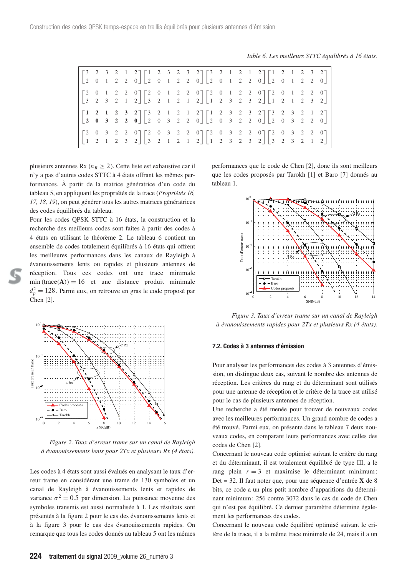*Table 6. Les meilleurs STTC équilibrés à 16 états.*

|  |  | $\begin{bmatrix} 3 & 2 & 3 & 2 & 1 & 2 \\ 2 & 0 & 1 & 2 & 2 & 0 \end{bmatrix} \begin{bmatrix} 1 & 2 & 3 & 2 & 3 & 2 \\ 2 & 0 & 1 & 2 & 2 & 0 \end{bmatrix} \begin{bmatrix} 3 & 2 & 1 & 2 & 1 & 2 \\ 2 & 0 & 1 & 2 & 2 & 0 \end{bmatrix} \begin{bmatrix} 1 & 2 & 1 & 2 & 3 & 2 \\ 2 & 0 & 1 & 2 & 2 & 0 \end{bmatrix}$ |  |  |  |  |  |  |  |  |
|--|--|-----------------------------------------------------------------------------------------------------------------------------------------------------------------------------------------------------------------------------------------------------------------------------------------------------------------------|--|--|--|--|--|--|--|--|
|  |  | $\begin{bmatrix} 2 & 0 & 1 & 2 & 2 & 0 \\ 3 & 2 & 3 & 2 & 1 & 2 \end{bmatrix} \begin{bmatrix} 2 & 0 & 1 & 2 & 2 & 0 \\ 3 & 2 & 1 & 2 & 1 & 2 \end{bmatrix} \begin{bmatrix} 2 & 0 & 1 & 2 & 2 & 0 \\ 1 & 2 & 3 & 2 & 3 & 2 \end{bmatrix} \begin{bmatrix} 2 & 0 & 1 & 2 & 2 & 0 \\ 1 & 2 & 1 & 2 & 3 & 2 \end{bmatrix}$ |  |  |  |  |  |  |  |  |
|  |  | $\begin{bmatrix} 1 & 2 & 1 & 2 & 3 & 2 \\ 2 & 0 & 3 & 2 & 2 & 0 \end{bmatrix} \begin{bmatrix} 3 & 2 & 1 & 2 & 1 & 2 \\ 2 & 0 & 3 & 2 & 2 & 0 \end{bmatrix} \begin{bmatrix} 1 & 2 & 3 & 2 & 3 & 2 \\ 2 & 0 & 3 & 2 & 2 & 0 \end{bmatrix} \begin{bmatrix} 3 & 2 & 3 & 2 & 1 & 2 \\ 2 & 0 & 3 & 2 & 2 & 0 \end{bmatrix}$ |  |  |  |  |  |  |  |  |
|  |  | $\begin{bmatrix} 2 & 0 & 3 & 2 & 2 & 0 \\ 1 & 2 & 1 & 2 & 3 & 2 \end{bmatrix} \begin{bmatrix} 2 & 0 & 3 & 2 & 2 & 0 \\ 3 & 2 & 1 & 2 & 1 & 2 \end{bmatrix} \begin{bmatrix} 2 & 0 & 3 & 2 & 2 & 0 \\ 1 & 2 & 3 & 2 & 3 & 2 \end{bmatrix} \begin{bmatrix} 2 & 0 & 3 & 2 & 2 & 0 \\ 3 & 2 & 3 & 2 & 1 & 2 \end{bmatrix}$ |  |  |  |  |  |  |  |  |

plusieurs antennes Rx ( $n_R \geq 2$ ). Cette liste est exhaustive car il n'y a pas d'autres codes STTC à 4 états offrant les mêmes performances. À partir de la matrice génératrice d'un code du tableau 5, en appliquant les propriétés de la trace (*Propriétés 16, 17, 18, 19*), on peut générer tous les autres matrices génératrices des codes équilibrés du tableau.

Pour les codes QPSK STTC à 16 états, la construction et la recherche des meilleurs codes sont faites à partir des codes à 4 états en utilisant le théorème 2. Le tableau 6 contient un ensemble de codes totalement équilibrés à 16 états qui offrent les meilleures performances dans les canaux de Rayleigh à évanouissements lents ou rapides et plusieurs antennes de réception. Tous ces codes ont une trace minimale  $\min(\text{trace}(A)) = 16$  et une distance produit minimale  $d_p^2 = 128$ . Parmi eux, on retrouve en gras le code proposé par Chen [2].



*Figure 2. Taux d'erreur trame sur un canal de Rayleigh à évanouissements lents pour 2Tx et plusieurs Rx (4 états).*

Les codes à 4 états sont aussi évalués en analysant le taux d'erreur trame en considérant une trame de 130 symboles et un canal de Rayleigh à évanouissements lents et rapides de variance  $\sigma^2 = 0.5$  par dimension. La puissance moyenne des symboles transmis est aussi normalisée à 1. Les résultats sont présentés à la figure 2 pour le cas des évanouissements lents et à la figure 3 pour le cas des évanouissements rapides. On remarque que tous les codes donnés au tableau 5 ont les mêmes

performances que le code de Chen [2], donc ils sont meilleurs que les codes proposés par Tarokh [1] et Baro [7] donnés au tableau 1.



*Figure 3. Taux d'erreur trame sur un canal de Rayleigh à évanouissements rapides pour 2Tx et plusieurs Rx (4 états).*

#### **7.2. Codes à 3 antennes d'émission**

Pour analyser les performances des codes à 3 antennes d'émission, on distingue deux cas, suivant le nombre des antennes de réception. Les critères du rang et du déterminant sont utilisés pour une antenne de réception et le critère de la trace est utilisé pour le cas de plusieurs antennes de réception.

Une recherche a été menée pour trouver de nouveaux codes avec les meilleures performances. Un grand nombre de codes a été trouvé. Parmi eux, on présente dans le tableau 7 deux nouveaux codes, en comparant leurs performances avec celles des codes de Chen [2].

Concernant le nouveau code optimisé suivant le critère du rang et du déterminant, il est totalement équilibré de type III, a le rang plein  $r = 3$  et maximise le déterminant minimum: Det = 32. Il faut noter que, pour une séquence d'entrée **X** de 8 bits, ce code a un plus petit nombre d'apparitions du déterminant minimum : 256 contre 3072 dans le cas du code de Chen qui n'est pas équilibré. Ce dernier paramètre détermine également les performances des codes.

Concernant le nouveau code équilibré optimisé suivant le critère de la trace, il a la même trace minimale de 24, mais il a un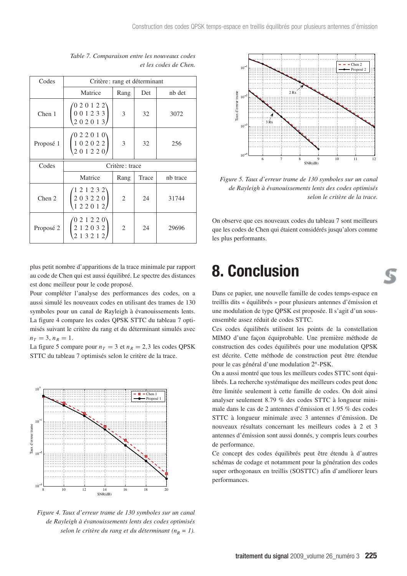| Codes     | Critère : rang et déterminant                                   |                |       |          |  |  |  |  |  |
|-----------|-----------------------------------------------------------------|----------------|-------|----------|--|--|--|--|--|
|           | Matrice                                                         | Rang           | Det   | nb det   |  |  |  |  |  |
| Chen 1    | $0\; 2\; 0\; 1\; 2\; 2^{\backslash 2}$<br>0 0 1 2 3 3<br>202013 | 3              | 32    | 3072     |  |  |  |  |  |
| Proposé 1 | 022010<br>102022<br>201220                                      | 3              | 32    | 256      |  |  |  |  |  |
|           |                                                                 | Critère: trace |       |          |  |  |  |  |  |
| Codes     |                                                                 |                |       |          |  |  |  |  |  |
|           | Matrice                                                         | Rang           | Trace | nb trace |  |  |  |  |  |
| Chen 2    | 121232`<br>203220<br>122012                                     | $\mathfrak{2}$ | 24    | 31744    |  |  |  |  |  |

*Table 7. Comparaison entre les nouveaux codes et les codes de Chen.*

plus petit nombre d'apparitions de la trace minimale par rapport au code de Chen qui est aussi équilibré. Le spectre des distances est donc meilleur pour le code proposé.

Pour compléter l'analyse des performances des codes, on a aussi simulé les nouveaux codes en utilisant des trames de 130 symboles pour un canal de Rayleigh à évanouissements lents. La figure 4 compare les codes QPSK STTC du tableau 7 optimisés suivant le critère du rang et du déterminant simulés avec  $n_T = 3, n_R = 1.$ 

La figure 5 compare pour  $n_T = 3$  et  $n_R = 2,3$  les codes QPSK STTC du tableau 7 optimisés selon le critère de la trace.



*Figure 4. Taux d'erreur trame de 130 symboles sur un canal de Rayleigh à évanouissements lents des codes optimisés selon le critère du rang et du déterminant (* $n_R = 1$ *).* 



*Figure 5. Taux d'erreur trame de 130 symboles sur un canal de Rayleigh à évanouissements lents des codes optimisés selon le critère de la trace.*

On observe que ces nouveaux codes du tableau 7 sont meilleurs que les codes de Chen qui étaient considérés jusqu'alors comme les plus performants.

## **8. Conclusion**

Dans ce papier, une nouvelle famille de codes temps-espace en treillis dits « équilibrés » pour plusieurs antennes d'émission et une modulation de type QPSK est proposée. Il s'agit d'un sousensemble assez réduit de codes STTC.

Ces codes équilibrés utilisent les points de la constellation MIMO d'une façon équiprobable. Une première méthode de construction des codes équilibrés pour une modulation QPSK est décrite. Cette méthode de construction peut être étendue pour le cas général d'une modulation 2*<sup>n</sup>*-PSK.

On a aussi montré que tous les meilleurs codes STTC sont équilibrés. La recherche systématique des meilleurs codes peut donc être limitée seulement à cette famille de codes. On doit ainsi analyser seulement 8.79 % des codes STTC à longueur minimale dans le cas de 2 antennes d'émission et 1.95 % des codes STTC à longueur minimale avec 3 antennes d'émission. De nouveaux résultats concernant les meilleurs codes à 2 et 3 antennes d'émission sont aussi donnés, y compris leurs courbes de performance.

Ce concept des codes équilibrés peut être étendu à d'autres schémas de codage et notamment pour la génération des codes super orthogonaux en treillis (SOSTTC) afin d'améliorer leurs performances.